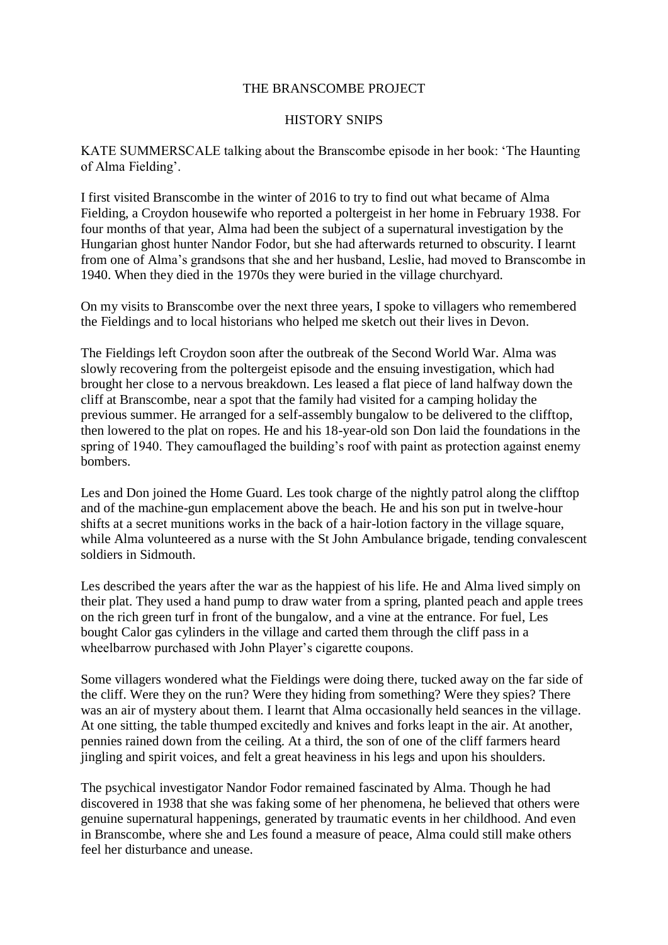## THE BRANSCOMBE PROJECT

## HISTORY SNIPS

KATE SUMMERSCALE talking about the Branscombe episode in her book: 'The Haunting of Alma Fielding'.

I first visited Branscombe in the winter of 2016 to try to find out what became of Alma Fielding, a Croydon housewife who reported a poltergeist in her home in February 1938. For four months of that year, Alma had been the subject of a supernatural investigation by the Hungarian ghost hunter Nandor Fodor, but she had afterwards returned to obscurity. I learnt from one of Alma's grandsons that she and her husband, Leslie, had moved to Branscombe in 1940. When they died in the 1970s they were buried in the village churchyard.

On my visits to Branscombe over the next three years, I spoke to villagers who remembered the Fieldings and to local historians who helped me sketch out their lives in Devon.

The Fieldings left Croydon soon after the outbreak of the Second World War. Alma was slowly recovering from the poltergeist episode and the ensuing investigation, which had brought her close to a nervous breakdown. Les leased a flat piece of land halfway down the cliff at Branscombe, near a spot that the family had visited for a camping holiday the previous summer. He arranged for a self-assembly bungalow to be delivered to the clifftop, then lowered to the plat on ropes. He and his 18-year-old son Don laid the foundations in the spring of 1940. They camouflaged the building's roof with paint as protection against enemy bombers.

Les and Don joined the Home Guard. Les took charge of the nightly patrol along the clifftop and of the machine-gun emplacement above the beach. He and his son put in twelve-hour shifts at a secret munitions works in the back of a hair-lotion factory in the village square, while Alma volunteered as a nurse with the St John Ambulance brigade, tending convalescent soldiers in Sidmouth.

Les described the years after the war as the happiest of his life. He and Alma lived simply on their plat. They used a hand pump to draw water from a spring, planted peach and apple trees on the rich green turf in front of the bungalow, and a vine at the entrance. For fuel, Les bought Calor gas cylinders in the village and carted them through the cliff pass in a wheelbarrow purchased with John Player's cigarette coupons.

Some villagers wondered what the Fieldings were doing there, tucked away on the far side of the cliff. Were they on the run? Were they hiding from something? Were they spies? There was an air of mystery about them. I learnt that Alma occasionally held seances in the village. At one sitting, the table thumped excitedly and knives and forks leapt in the air. At another, pennies rained down from the ceiling. At a third, the son of one of the cliff farmers heard jingling and spirit voices, and felt a great heaviness in his legs and upon his shoulders.

The psychical investigator Nandor Fodor remained fascinated by Alma. Though he had discovered in 1938 that she was faking some of her phenomena, he believed that others were genuine supernatural happenings, generated by traumatic events in her childhood. And even in Branscombe, where she and Les found a measure of peace, Alma could still make others feel her disturbance and unease.